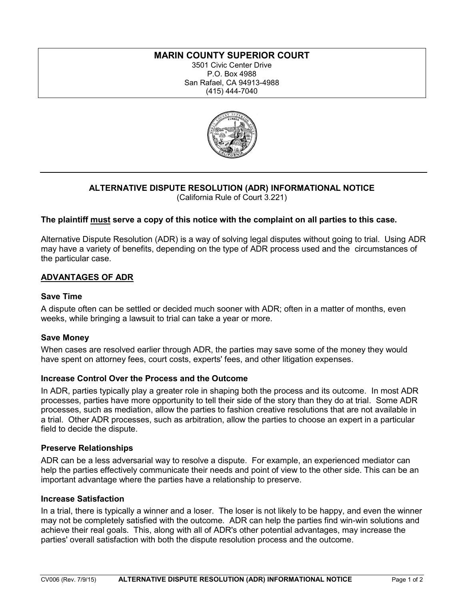# **MARIN COUNTY SUPERIOR COURT**

3501 Civic Center Drive P.O. Box 4988 San Rafael, CA 94913-4988 (415) 444-7040



## **ALTERNATIVE DISPUTE RESOLUTION (ADR) INFORMATIONAL NOTICE** (California Rule of Court 3.221)

## **The plaintiff must serve a copy of this notice with the complaint on all parties to this case.**

Alternative Dispute Resolution (ADR) is a way of solving legal disputes without going to trial. Using ADR may have a variety of benefits, depending on the type of ADR process used and the circumstances of the particular case.

## **ADVANTAGES OF ADR**

## **Save Time**

A dispute often can be settled or decided much sooner with ADR; often in a matter of months, even weeks, while bringing a lawsuit to trial can take a year or more.

### **Save Money**

When cases are resolved earlier through ADR, the parties may save some of the money they would have spent on attorney fees, court costs, experts' fees, and other litigation expenses.

### **Increase Control Over the Process and the Outcome**

In ADR, parties typically play a greater role in shaping both the process and its outcome. In most ADR processes, parties have more opportunity to tell their side of the story than they do at trial. Some ADR processes, such as mediation, allow the parties to fashion creative resolutions that are not available in a trial. Other ADR processes, such as arbitration, allow the parties to choose an expert in a particular field to decide the dispute.

### **Preserve Relationships**

ADR can be a less adversarial way to resolve a dispute. For example, an experienced mediator can help the parties effectively communicate their needs and point of view to the other side. This can be an important advantage where the parties have a relationship to preserve.

### **Increase Satisfaction**

In a trial, there is typically a winner and a loser. The loser is not likely to be happy, and even the winner may not be completely satisfied with the outcome. ADR can help the parties find win-win solutions and achieve their real goals. This, along with all of ADR's other potential advantages, may increase the parties' overall satisfaction with both the dispute resolution process and the outcome.